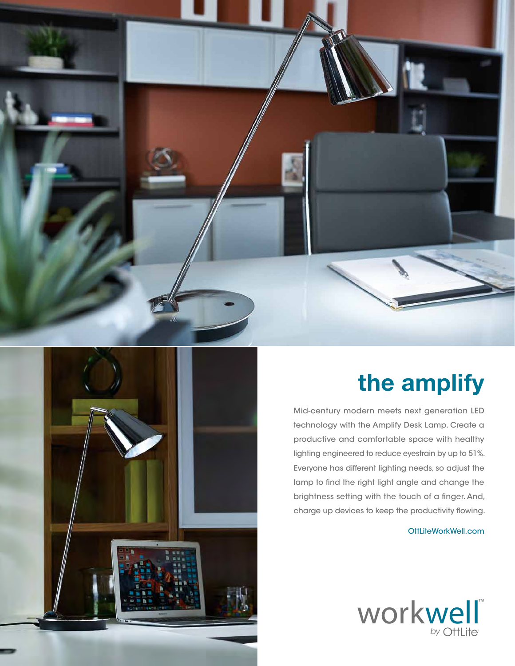



## **the amplify**

Mid-century modern meets next generation LED technology with the Amplify Desk Lamp. Create a productive and comfortable space with healthy lighting engineered to reduce eyestrain by up to 51%. Everyone has different lighting needs, so adjust the lamp to find the right light angle and change the brightness setting with the touch of a finger. And, charge up devices to keep the productivity flowing.

OttLiteWorkWell.com